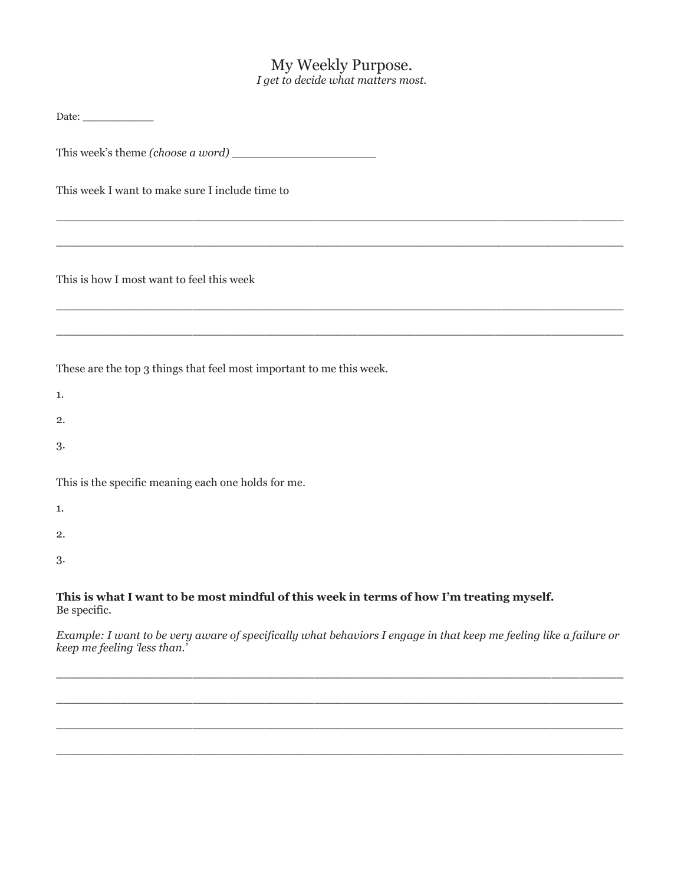## My Weekly Purpose. *I get to decide what matters most.*

| This week I want to make sure I include time to                                                               |
|---------------------------------------------------------------------------------------------------------------|
|                                                                                                               |
| This is how I most want to feel this week                                                                     |
|                                                                                                               |
| These are the top 3 things that feel most important to me this week.                                          |
| 1.                                                                                                            |
| 2.                                                                                                            |
| 3.                                                                                                            |
| This is the specific meaning each one holds for me.                                                           |
| 1.                                                                                                            |
| 2.                                                                                                            |
| 3.                                                                                                            |
| This is what I want to be most mindful of this week in terms of how I'm treating myself.<br>Be specific.      |
| Example: Lugar to be use guare of most cally what behavious Longgoe in that keep me feeling like a failure on |

*Example: I want to be very aware of specifically what behaviors I engage in that keep me feeling like a failure or keep me feeling 'less than.'*

\_\_\_\_\_\_\_\_\_\_\_\_\_\_\_\_\_\_\_\_\_\_\_\_\_\_\_\_\_\_\_\_\_\_\_\_\_\_\_\_\_\_\_\_\_\_\_\_\_\_\_\_\_\_\_\_\_\_\_\_\_\_\_\_\_\_\_\_\_\_\_\_\_\_\_\_\_\_\_

 $\_$  ,  $\_$  ,  $\_$  ,  $\_$  ,  $\_$  ,  $\_$  ,  $\_$  ,  $\_$  ,  $\_$  ,  $\_$  ,  $\_$  ,  $\_$  ,  $\_$  ,  $\_$  ,  $\_$  ,  $\_$  ,  $\_$  ,  $\_$  ,  $\_$  ,  $\_$  ,  $\_$  ,  $\_$  ,  $\_$  ,  $\_$  ,  $\_$  ,  $\_$  ,  $\_$  ,  $\_$  ,  $\_$  ,  $\_$  ,  $\_$  ,  $\_$  ,  $\_$  ,  $\_$  ,  $\_$  ,  $\_$  ,  $\_$  ,

\_\_\_\_\_\_\_\_\_\_\_\_\_\_\_\_\_\_\_\_\_\_\_\_\_\_\_\_\_\_\_\_\_\_\_\_\_\_\_\_\_\_\_\_\_\_\_\_\_\_\_\_\_\_\_\_\_\_\_\_\_\_\_\_\_\_\_\_\_\_\_\_\_\_\_\_\_\_\_

\_\_\_\_\_\_\_\_\_\_\_\_\_\_\_\_\_\_\_\_\_\_\_\_\_\_\_\_\_\_\_\_\_\_\_\_\_\_\_\_\_\_\_\_\_\_\_\_\_\_\_\_\_\_\_\_\_\_\_\_\_\_\_\_\_\_\_\_\_\_\_\_\_\_\_\_\_\_\_